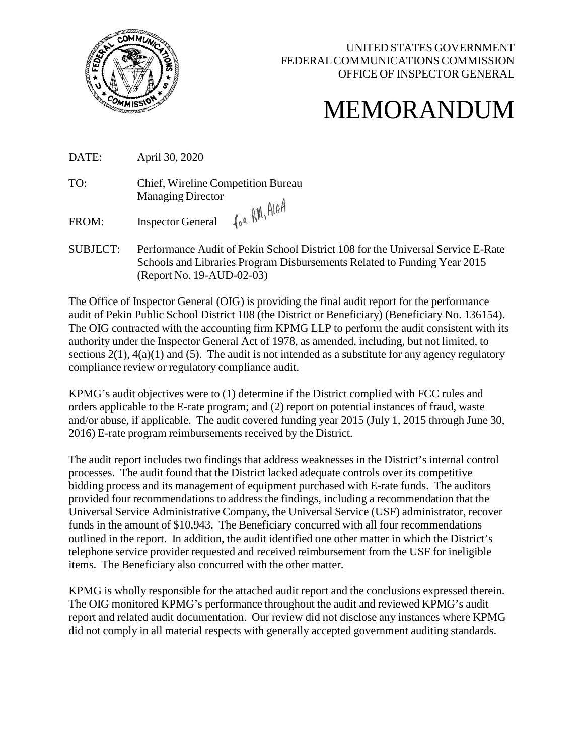

## MEMORANDUM

DATE: April 30, 2020

TO: Chief, Wireline Competition Bureau Managing Director for RM, AIGA

FROM: Inspector General

SUBJECT: Performance Audit of Pekin School District 108 for the Universal Service E-Rate Schools and Libraries Program Disbursements Related to Funding Year 2015 (Report No. 19-AUD-02-03)

The Office of Inspector General (OIG) is providing the final audit report for the performance audit of Pekin Public School District 108 (the District or Beneficiary) (Beneficiary No. 136154). The OIG contracted with the accounting firm KPMG LLP to perform the audit consistent with its authority under the Inspector General Act of 1978, as amended, including, but not limited, to sections  $2(1)$ ,  $4(a)(1)$  and (5). The audit is not intended as a substitute for any agency regulatory compliance review or regulatory compliance audit.

KPMG's audit objectives were to (1) determine if the District complied with FCC rules and orders applicable to the E-rate program; and (2) report on potential instances of fraud, waste and/or abuse, if applicable. The audit covered funding year 2015 (July 1, 2015 through June 30, 2016) E-rate program reimbursements received by the District.

The audit report includes two findings that address weaknesses in the District's internal control processes. The audit found that the District lacked adequate controls over its competitive bidding process and its management of equipment purchased with E-rate funds. The auditors provided four recommendations to address the findings, including a recommendation that the Universal Service Administrative Company, the Universal Service (USF) administrator, recover funds in the amount of \$10,943. The Beneficiary concurred with all four recommendations outlined in the report. In addition, the audit identified one other matter in which the District's telephone service provider requested and received reimbursement from the USF for ineligible items. The Beneficiary also concurred with the other matter.

KPMG is wholly responsible for the attached audit report and the conclusions expressed therein. The OIG monitored KPMG's performance throughout the audit and reviewed KPMG's audit report and related audit documentation. Our review did not disclose any instances where KPMG did not comply in all material respects with generally accepted government auditing standards.